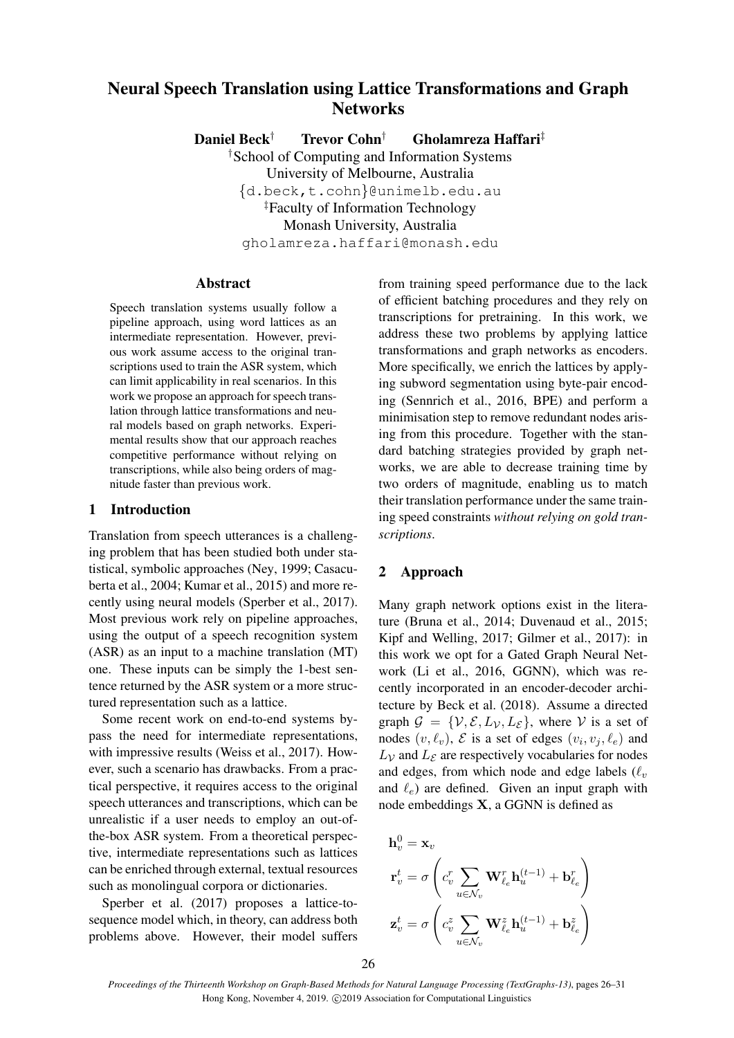# Neural Speech Translation using Lattice Transformations and Graph **Networks**

Daniel Beck† Trevor Cohn† Gholamreza Haffari‡

†School of Computing and Information Systems University of Melbourne, Australia {d.beck,t.cohn}@unimelb.edu.au ‡Faculty of Information Technology Monash University, Australia gholamreza.haffari@monash.edu

## Abstract

Speech translation systems usually follow a pipeline approach, using word lattices as an intermediate representation. However, previous work assume access to the original transcriptions used to train the ASR system, which can limit applicability in real scenarios. In this work we propose an approach for speech translation through lattice transformations and neural models based on graph networks. Experimental results show that our approach reaches competitive performance without relying on transcriptions, while also being orders of magnitude faster than previous work.

# 1 Introduction

Translation from speech utterances is a challenging problem that has been studied both under statistical, symbolic approaches (Ney, 1999; Casacuberta et al., 2004; Kumar et al., 2015) and more recently using neural models (Sperber et al., 2017). Most previous work rely on pipeline approaches, using the output of a speech recognition system (ASR) as an input to a machine translation (MT) one. These inputs can be simply the 1-best sentence returned by the ASR system or a more structured representation such as a lattice.

Some recent work on end-to-end systems bypass the need for intermediate representations, with impressive results (Weiss et al., 2017). However, such a scenario has drawbacks. From a practical perspective, it requires access to the original speech utterances and transcriptions, which can be unrealistic if a user needs to employ an out-ofthe-box ASR system. From a theoretical perspective, intermediate representations such as lattices can be enriched through external, textual resources such as monolingual corpora or dictionaries.

Sperber et al. (2017) proposes a lattice-tosequence model which, in theory, can address both problems above. However, their model suffers from training speed performance due to the lack of efficient batching procedures and they rely on transcriptions for pretraining. In this work, we address these two problems by applying lattice transformations and graph networks as encoders. More specifically, we enrich the lattices by applying subword segmentation using byte-pair encoding (Sennrich et al., 2016, BPE) and perform a minimisation step to remove redundant nodes arising from this procedure. Together with the standard batching strategies provided by graph networks, we are able to decrease training time by two orders of magnitude, enabling us to match their translation performance under the same training speed constraints *without relying on gold transcriptions*.

# 2 Approach

Many graph network options exist in the literature (Bruna et al., 2014; Duvenaud et al., 2015; Kipf and Welling, 2017; Gilmer et al., 2017): in this work we opt for a Gated Graph Neural Network (Li et al., 2016, GGNN), which was recently incorporated in an encoder-decoder architecture by Beck et al. (2018). Assume a directed graph  $\mathcal{G} = \{V, \mathcal{E}, L_V, L_{\mathcal{E}}\}$ , where V is a set of nodes  $(v, \ell_v)$ ,  $\mathcal E$  is a set of edges  $(v_i, v_j, \ell_e)$  and  $L<sub>V</sub>$  and  $L<sub>E</sub>$  are respectively vocabularies for nodes and edges, from which node and edge labels  $(\ell_v)$ and  $\ell_e$ ) are defined. Given an input graph with node embeddings X, a GGNN is defined as

$$
\begin{aligned} \mathbf{h}_v^0 &= \mathbf{x}_v\\ \mathbf{r}_v^t &= \sigma\left(c_v^r \sum_{u \in \mathcal{N}_v} \mathbf{W}_{\ell_e}^r \mathbf{h}_u^{(t-1)} + \mathbf{b}_{\ell_e}^r\right)\\ \mathbf{z}_v^t &= \sigma\left(c_v^z \sum_{u \in \mathcal{N}_v} \mathbf{W}_{\ell_e}^z \mathbf{h}_u^{(t-1)} + \mathbf{b}_{\ell_e}^z\right) \end{aligned}
$$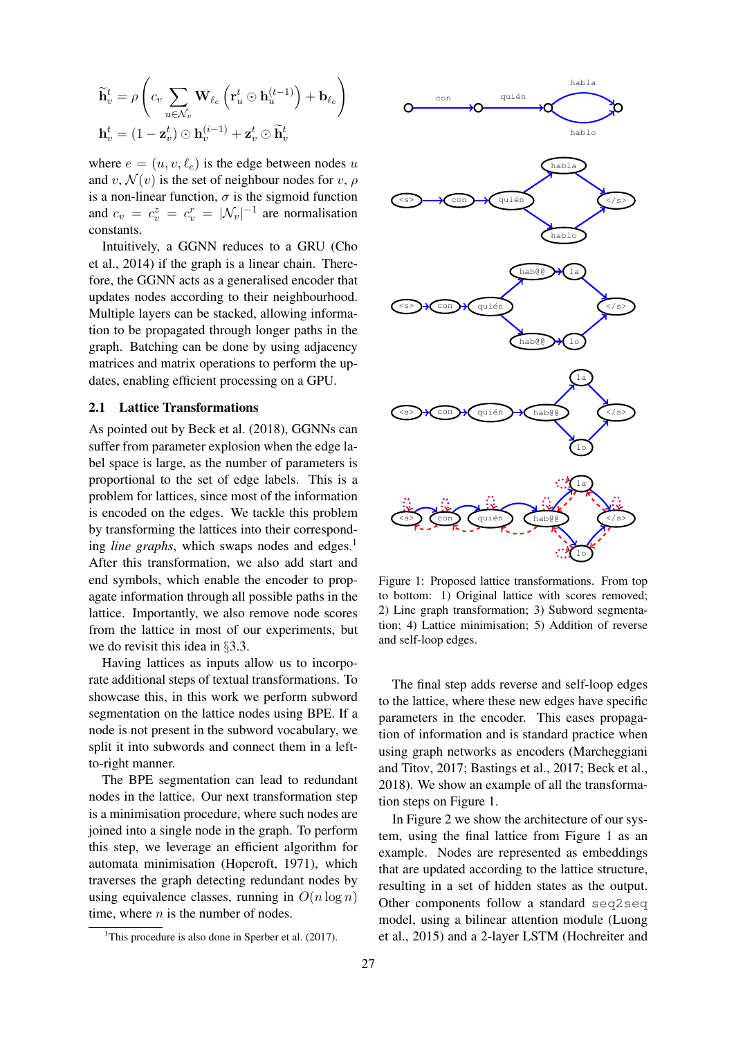$$
\widetilde{\mathbf{h}}_v^t = \rho \left( c_v \sum_{u \in \mathcal{N}_v} \mathbf{W}_{\ell_e} \left( \mathbf{r}_u^t \odot \mathbf{h}_u^{(t-1)} \right) + \mathbf{b}_{\ell_e} \right)
$$

$$
\mathbf{h}_v^t = (1 - \mathbf{z}_v^t) \odot \mathbf{h}_v^{(i-1)} + \mathbf{z}_v^t \odot \widetilde{\mathbf{h}}_v^t
$$

where  $e = (u, v, \ell_e)$  is the edge between nodes u and v,  $\mathcal{N}(v)$  is the set of neighbour nodes for v,  $\rho$ is a non-linear function,  $\sigma$  is the sigmoid function and  $c_v = c_v^z = c_v^r = |\mathcal{N}_v|^{-1}$  are normalisation constants.

Intuitively, a GGNN reduces to a GRU (Cho et al., 2014) if the graph is a linear chain. Therefore, the GGNN acts as a generalised encoder that updates nodes according to their neighbourhood. Multiple layers can be stacked, allowing information to be propagated through longer paths in the graph. Batching can be done by using adjacency matrices and matrix operations to perform the updates, enabling efficient processing on a GPU.

#### 2.1 Lattice Transformations

As pointed out by Beck et al. (2018), GGNNs can suffer from parameter explosion when the edge label space is large, as the number of parameters is proportional to the set of edge labels. This is a problem for lattices, since most of the information is encoded on the edges. We tackle this problem by transforming the lattices into their corresponding *line graphs*, which swaps nodes and edges.<sup>1</sup> After this transformation, we also add start and end symbols, which enable the encoder to propagate information through all possible paths in the lattice. Importantly, we also remove node scores from the lattice in most of our experiments, but we do revisit this idea in §3.3.

Having lattices as inputs allow us to incorporate additional steps of textual transformations. To showcase this, in this work we perform subword segmentation on the lattice nodes using BPE. If a node is not present in the subword vocabulary, we split it into subwords and connect them in a leftto-right manner.

The BPE segmentation can lead to redundant nodes in the lattice. Our next transformation step is a minimisation procedure, where such nodes are joined into a single node in the graph. To perform this step, we leverage an efficient algorithm for automata minimisation (Hopcroft, 1971), which traverses the graph detecting redundant nodes by using equivalence classes, running in  $O(n \log n)$ time, where  $n$  is the number of nodes.



Figure 1: Proposed lattice transformations. From top to bottom: 1) Original lattice with scores removed; 2) Line graph transformation; 3) Subword segmentation; 4) Lattice minimisation; 5) Addition of reverse and self-loop edges.

The final step adds reverse and self-loop edges to the lattice, where these new edges have specific parameters in the encoder. This eases propagation of information and is standard practice when using graph networks as encoders (Marcheggiani and Titov, 2017; Bastings et al., 2017; Beck et al., 2018). We show an example of all the transformation steps on Figure 1.

In Figure 2 we show the architecture of our system, using the final lattice from Figure 1 as an example. Nodes are represented as embeddings that are updated according to the lattice structure, resulting in a set of hidden states as the output. Other components follow a standard seq2seq model, using a bilinear attention module (Luong et al., 2015) and a 2-layer LSTM (Hochreiter and

<sup>&</sup>lt;sup>1</sup>This procedure is also done in Sperber et al.  $(2017)$ .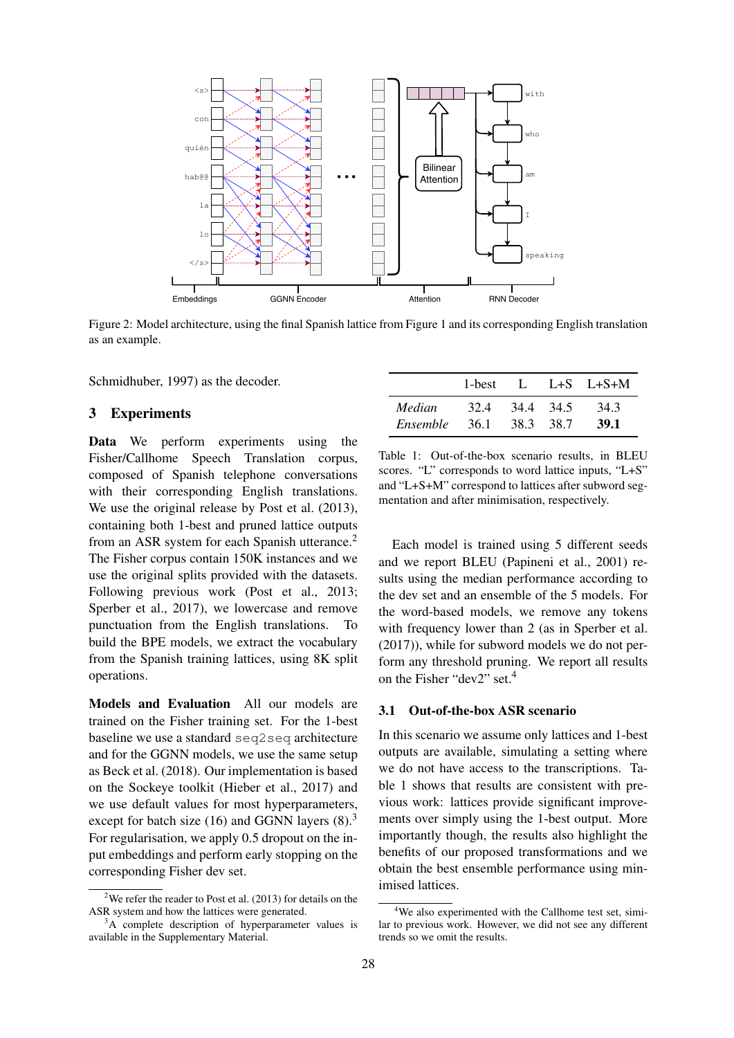

Figure 2: Model architecture, using the final Spanish lattice from Figure 1 and its corresponding English translation as an example.

Schmidhuber, 1997) as the decoder.

# 3 Experiments

Data We perform experiments using the Fisher/Callhome Speech Translation corpus, composed of Spanish telephone conversations with their corresponding English translations. We use the original release by Post et al.  $(2013)$ , containing both 1-best and pruned lattice outputs from an ASR system for each Spanish utterance.<sup>2</sup> The Fisher corpus contain 150K instances and we use the original splits provided with the datasets. Following previous work (Post et al., 2013; Sperber et al., 2017), we lowercase and remove punctuation from the English translations. To build the BPE models, we extract the vocabulary from the Spanish training lattices, using 8K split operations.

Models and Evaluation All our models are trained on the Fisher training set. For the 1-best baseline we use a standard seq2seq architecture and for the GGNN models, we use the same setup as Beck et al. (2018). Our implementation is based on the Sockeye toolkit (Hieber et al., 2017) and we use default values for most hyperparameters, except for batch size  $(16)$  and GGNN layers  $(8)$ .<sup>3</sup> For regularisation, we apply 0.5 dropout on the input embeddings and perform early stopping on the corresponding Fisher dev set.

|          |       |           |           | 1-best L L+S L+S+M |
|----------|-------|-----------|-----------|--------------------|
| Median   | 32.4  | 34.4 34.5 |           | 34.3               |
| Ensemble | -36.1 |           | 38.3 38.7 | 39.1               |

Table 1: Out-of-the-box scenario results, in BLEU scores. "L" corresponds to word lattice inputs, "L+S" and "L+S+M" correspond to lattices after subword segmentation and after minimisation, respectively.

Each model is trained using 5 different seeds and we report BLEU (Papineni et al., 2001) results using the median performance according to the dev set and an ensemble of the 5 models. For the word-based models, we remove any tokens with frequency lower than 2 (as in Sperber et al. (2017)), while for subword models we do not perform any threshold pruning. We report all results on the Fisher "dev2" set.<sup>4</sup>

# 3.1 Out-of-the-box ASR scenario

In this scenario we assume only lattices and 1-best outputs are available, simulating a setting where we do not have access to the transcriptions. Table 1 shows that results are consistent with previous work: lattices provide significant improvements over simply using the 1-best output. More importantly though, the results also highlight the benefits of our proposed transformations and we obtain the best ensemble performance using minimised lattices.

<sup>&</sup>lt;sup>2</sup>We refer the reader to Post et al.  $(2013)$  for details on the ASR system and how the lattices were generated.

 $3A$  complete description of hyperparameter values is available in the Supplementary Material.

<sup>&</sup>lt;sup>4</sup>We also experimented with the Callhome test set, similar to previous work. However, we did not see any different trends so we omit the results.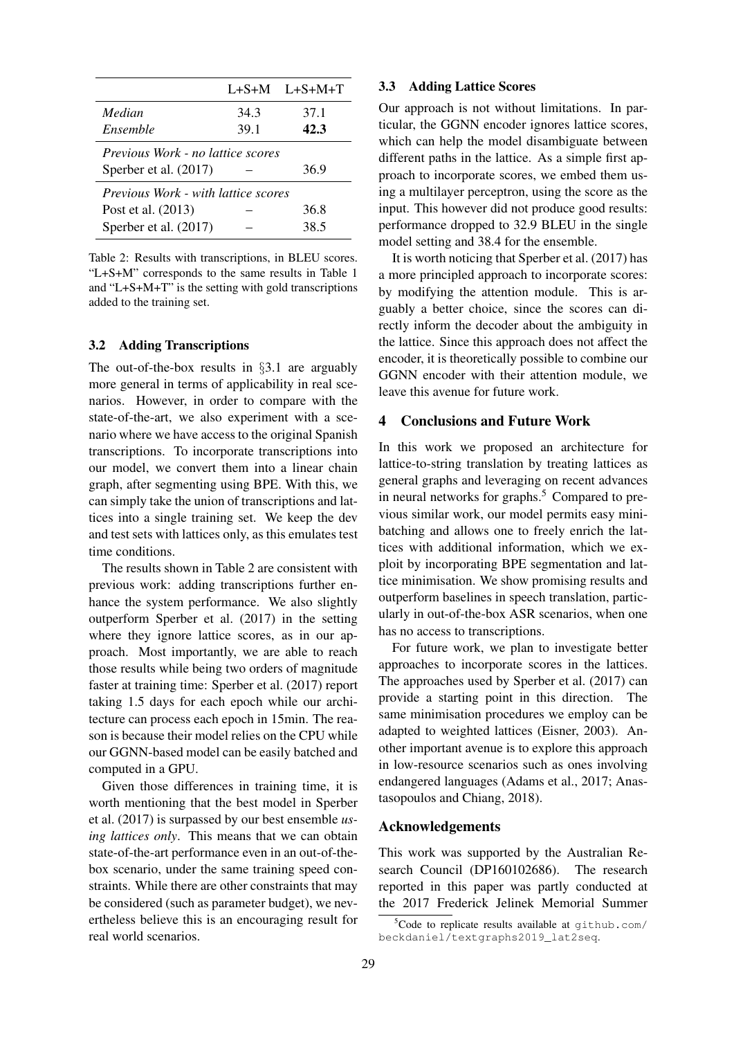|                                                                           |      | $L+S+M$ $L+S+M+T$ |  |  |  |
|---------------------------------------------------------------------------|------|-------------------|--|--|--|
| Median                                                                    | 34.3 | 37.1              |  |  |  |
| Ensemble                                                                  | 39.1 | 42.3              |  |  |  |
| <i>Previous Work - no lattice scores</i><br>36.9<br>Sperber et al. (2017) |      |                   |  |  |  |
| <i>Previous Work - with lattice scores</i>                                |      |                   |  |  |  |
| Post et al. (2013)                                                        |      | 36.8              |  |  |  |
| Sperber et al. (2017)                                                     |      | 38.5              |  |  |  |

Table 2: Results with transcriptions, in BLEU scores. "L+S+M" corresponds to the same results in Table 1 and "L+S+M+T" is the setting with gold transcriptions added to the training set.

## 3.2 Adding Transcriptions

The out-of-the-box results in §3.1 are arguably more general in terms of applicability in real scenarios. However, in order to compare with the state-of-the-art, we also experiment with a scenario where we have access to the original Spanish transcriptions. To incorporate transcriptions into our model, we convert them into a linear chain graph, after segmenting using BPE. With this, we can simply take the union of transcriptions and lattices into a single training set. We keep the dev and test sets with lattices only, as this emulates test time conditions.

The results shown in Table 2 are consistent with previous work: adding transcriptions further enhance the system performance. We also slightly outperform Sperber et al. (2017) in the setting where they ignore lattice scores, as in our approach. Most importantly, we are able to reach those results while being two orders of magnitude faster at training time: Sperber et al. (2017) report taking 1.5 days for each epoch while our architecture can process each epoch in 15min. The reason is because their model relies on the CPU while our GGNN-based model can be easily batched and computed in a GPU.

Given those differences in training time, it is worth mentioning that the best model in Sperber et al. (2017) is surpassed by our best ensemble *using lattices only*. This means that we can obtain state-of-the-art performance even in an out-of-thebox scenario, under the same training speed constraints. While there are other constraints that may be considered (such as parameter budget), we nevertheless believe this is an encouraging result for real world scenarios.

#### 3.3 Adding Lattice Scores

Our approach is not without limitations. In particular, the GGNN encoder ignores lattice scores, which can help the model disambiguate between different paths in the lattice. As a simple first approach to incorporate scores, we embed them using a multilayer perceptron, using the score as the input. This however did not produce good results: performance dropped to 32.9 BLEU in the single model setting and 38.4 for the ensemble.

It is worth noticing that Sperber et al. (2017) has a more principled approach to incorporate scores: by modifying the attention module. This is arguably a better choice, since the scores can directly inform the decoder about the ambiguity in the lattice. Since this approach does not affect the encoder, it is theoretically possible to combine our GGNN encoder with their attention module, we leave this avenue for future work.

## 4 Conclusions and Future Work

In this work we proposed an architecture for lattice-to-string translation by treating lattices as general graphs and leveraging on recent advances in neural networks for graphs.<sup>5</sup> Compared to previous similar work, our model permits easy minibatching and allows one to freely enrich the lattices with additional information, which we exploit by incorporating BPE segmentation and lattice minimisation. We show promising results and outperform baselines in speech translation, particularly in out-of-the-box ASR scenarios, when one has no access to transcriptions.

For future work, we plan to investigate better approaches to incorporate scores in the lattices. The approaches used by Sperber et al. (2017) can provide a starting point in this direction. The same minimisation procedures we employ can be adapted to weighted lattices (Eisner, 2003). Another important avenue is to explore this approach in low-resource scenarios such as ones involving endangered languages (Adams et al., 2017; Anastasopoulos and Chiang, 2018).

## Acknowledgements

This work was supported by the Australian Research Council (DP160102686). The research reported in this paper was partly conducted at the 2017 Frederick Jelinek Memorial Summer

 $5C$ ode to replicate results available at  $q$ ithub.com/ beckdaniel/textgraphs2019\_lat2seq.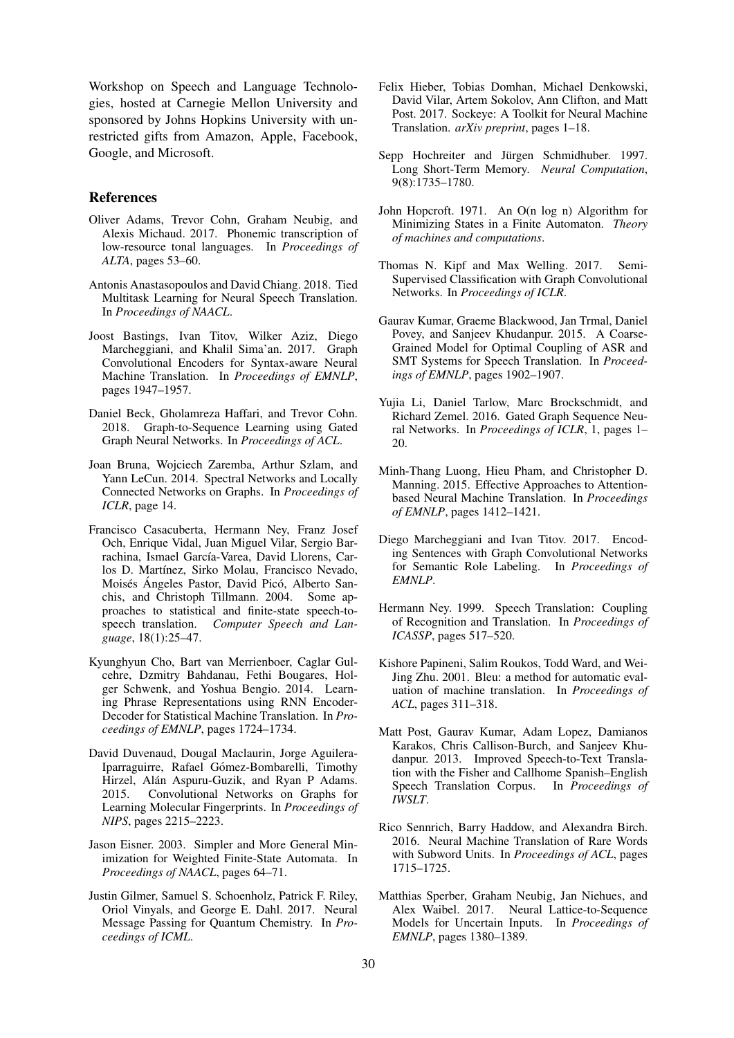Workshop on Speech and Language Technologies, hosted at Carnegie Mellon University and sponsored by Johns Hopkins University with unrestricted gifts from Amazon, Apple, Facebook, Google, and Microsoft.

#### References

- Oliver Adams, Trevor Cohn, Graham Neubig, and Alexis Michaud. 2017. Phonemic transcription of low-resource tonal languages. In *Proceedings of ALTA*, pages 53–60.
- Antonis Anastasopoulos and David Chiang. 2018. Tied Multitask Learning for Neural Speech Translation. In *Proceedings of NAACL*.
- Joost Bastings, Ivan Titov, Wilker Aziz, Diego Marcheggiani, and Khalil Sima'an. 2017. Graph Convolutional Encoders for Syntax-aware Neural Machine Translation. In *Proceedings of EMNLP*, pages 1947–1957.
- Daniel Beck, Gholamreza Haffari, and Trevor Cohn. 2018. Graph-to-Sequence Learning using Gated Graph Neural Networks. In *Proceedings of ACL*.
- Joan Bruna, Wojciech Zaremba, Arthur Szlam, and Yann LeCun. 2014. Spectral Networks and Locally Connected Networks on Graphs. In *Proceedings of ICLR*, page 14.
- Francisco Casacuberta, Hermann Ney, Franz Josef Och, Enrique Vidal, Juan Miguel Vilar, Sergio Barrachina, Ismael García-Varea, David Llorens, Carlos D. Martínez, Sirko Molau, Francisco Nevado, Moisés Angeles Pastor, David Picó, Alberto Sanchis, and Christoph Tillmann. 2004. Some approaches to statistical and finite-state speech-tospeech translation. *Computer Speech and Language*, 18(1):25–47.
- Kyunghyun Cho, Bart van Merrienboer, Caglar Gulcehre, Dzmitry Bahdanau, Fethi Bougares, Holger Schwenk, and Yoshua Bengio. 2014. Learning Phrase Representations using RNN Encoder-Decoder for Statistical Machine Translation. In *Proceedings of EMNLP*, pages 1724–1734.
- David Duvenaud, Dougal Maclaurin, Jorge Aguilera-Iparraguirre, Rafael Gómez-Bombarelli, Timothy Hirzel, Alán Aspuru-Guzik, and Ryan P Adams. 2015. Convolutional Networks on Graphs for Learning Molecular Fingerprints. In *Proceedings of NIPS*, pages 2215–2223.
- Jason Eisner. 2003. Simpler and More General Minimization for Weighted Finite-State Automata. In *Proceedings of NAACL*, pages 64–71.
- Justin Gilmer, Samuel S. Schoenholz, Patrick F. Riley, Oriol Vinyals, and George E. Dahl. 2017. Neural Message Passing for Quantum Chemistry. In *Proceedings of ICML*.
- Felix Hieber, Tobias Domhan, Michael Denkowski, David Vilar, Artem Sokolov, Ann Clifton, and Matt Post. 2017. Sockeye: A Toolkit for Neural Machine Translation. *arXiv preprint*, pages 1–18.
- Sepp Hochreiter and Jürgen Schmidhuber. 1997. Long Short-Term Memory. *Neural Computation*, 9(8):1735–1780.
- John Hopcroft. 1971. An O(n log n) Algorithm for Minimizing States in a Finite Automaton. *Theory of machines and computations*.
- Thomas N. Kipf and Max Welling. 2017. Semi-Supervised Classification with Graph Convolutional Networks. In *Proceedings of ICLR*.
- Gaurav Kumar, Graeme Blackwood, Jan Trmal, Daniel Povey, and Sanjeev Khudanpur. 2015. A Coarse-Grained Model for Optimal Coupling of ASR and SMT Systems for Speech Translation. In *Proceedings of EMNLP*, pages 1902–1907.
- Yujia Li, Daniel Tarlow, Marc Brockschmidt, and Richard Zemel. 2016. Gated Graph Sequence Neural Networks. In *Proceedings of ICLR*, 1, pages 1– 20.
- Minh-Thang Luong, Hieu Pham, and Christopher D. Manning. 2015. Effective Approaches to Attentionbased Neural Machine Translation. In *Proceedings of EMNLP*, pages 1412–1421.
- Diego Marcheggiani and Ivan Titov. 2017. Encoding Sentences with Graph Convolutional Networks for Semantic Role Labeling. In *Proceedings of EMNLP*.
- Hermann Ney. 1999. Speech Translation: Coupling of Recognition and Translation. In *Proceedings of ICASSP*, pages 517–520.
- Kishore Papineni, Salim Roukos, Todd Ward, and Wei-Jing Zhu. 2001. Bleu: a method for automatic evaluation of machine translation. In *Proceedings of ACL*, pages 311–318.
- Matt Post, Gaurav Kumar, Adam Lopez, Damianos Karakos, Chris Callison-Burch, and Sanjeev Khudanpur. 2013. Improved Speech-to-Text Translation with the Fisher and Callhome Spanish–English Speech Translation Corpus. In *Proceedings of IWSLT*.
- Rico Sennrich, Barry Haddow, and Alexandra Birch. 2016. Neural Machine Translation of Rare Words with Subword Units. In *Proceedings of ACL*, pages 1715–1725.
- Matthias Sperber, Graham Neubig, Jan Niehues, and Alex Waibel. 2017. Neural Lattice-to-Sequence Models for Uncertain Inputs. In *Proceedings of EMNLP*, pages 1380–1389.